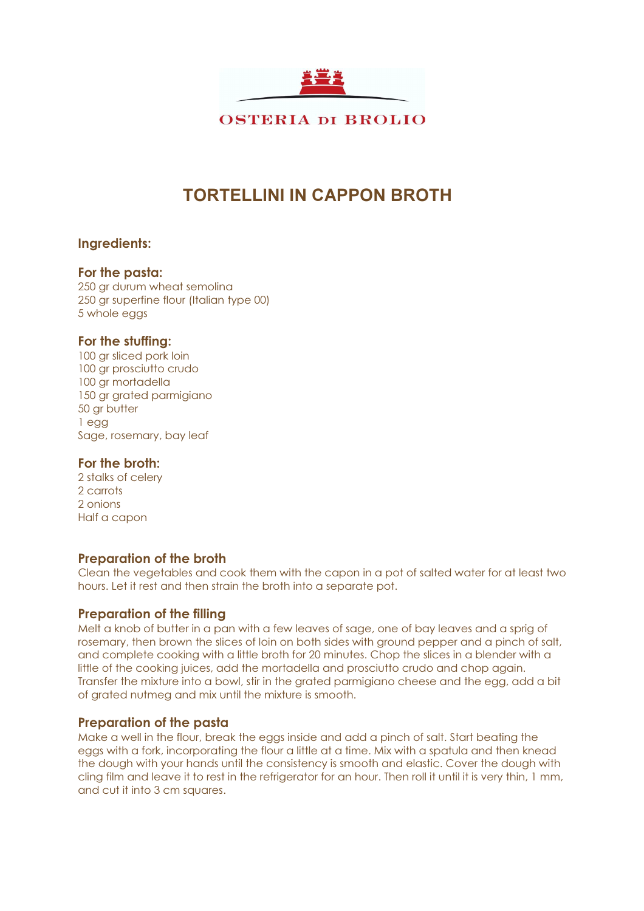

**OSTERIA DI BROLIO** 

# TORTELLINI IN CAPPON BROTH

#### Ingredients:

#### For the pasta:

250 gr durum wheat semolina 250 gr superfine flour (Italian type 00) 5 whole eggs

#### For the stuffing:

100 ar sliced pork loin 100 gr prosciutto crudo 100 gr mortadella 150 gr grated parmigiano 50 gr butter 1 egg Sage, rosemary, bay leaf

#### For the broth:

2 stalks of celery 2 carrots 2 onions Half a capon

### Preparation of the broth

Clean the vegetables and cook them with the capon in a pot of salted water for at least two hours. Let it rest and then strain the broth into a separate pot.

#### Preparation of the filling

Melt a knob of butter in a pan with a few leaves of sage, one of bay leaves and a sprig of rosemary, then brown the slices of loin on both sides with ground pepper and a pinch of salt, and complete cooking with a little broth for 20 minutes. Chop the slices in a blender with a little of the cooking juices, add the mortadella and prosciutto crudo and chop again. Transfer the mixture into a bowl, stir in the grated parmigiano cheese and the egg, add a bit of grated nutmeg and mix until the mixture is smooth.

#### Preparation of the pasta

Make a well in the flour, break the eggs inside and add a pinch of salt. Start beating the eggs with a fork, incorporating the flour a little at a time. Mix with a spatula and then knead the dough with your hands until the consistency is smooth and elastic. Cover the dough with cling film and leave it to rest in the refrigerator for an hour. Then roll it until it is very thin, 1 mm, and cut it into 3 cm squares.